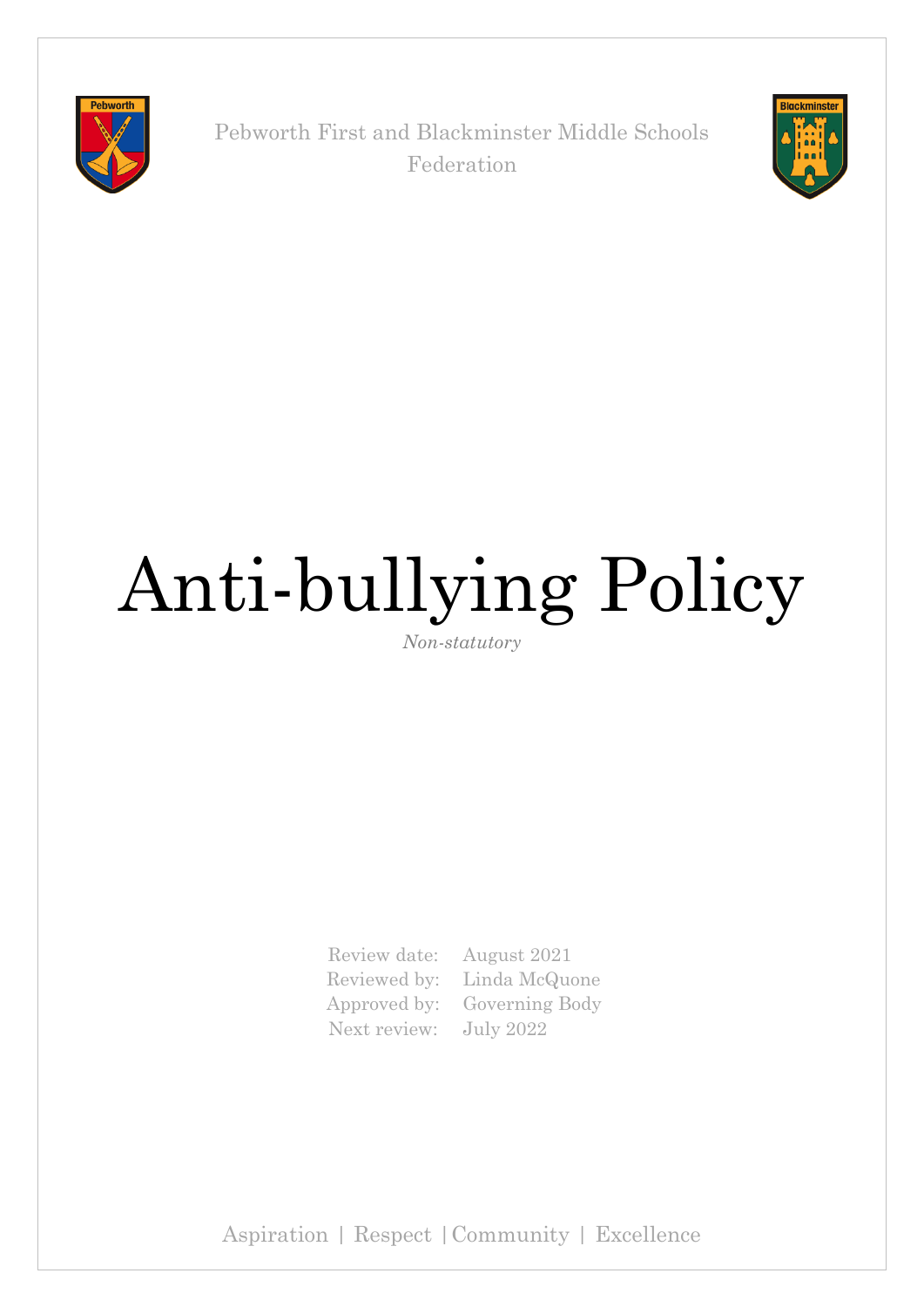

Pebworth First and Blackminster Middle Schools Federation



# Anti-bullying Policy

*Non-statutory*

Review date: August 2021 Next review: July 2022

Reviewed by: Linda McQuone Approved by: Governing Body

Aspiration | Respect |Community | Excellence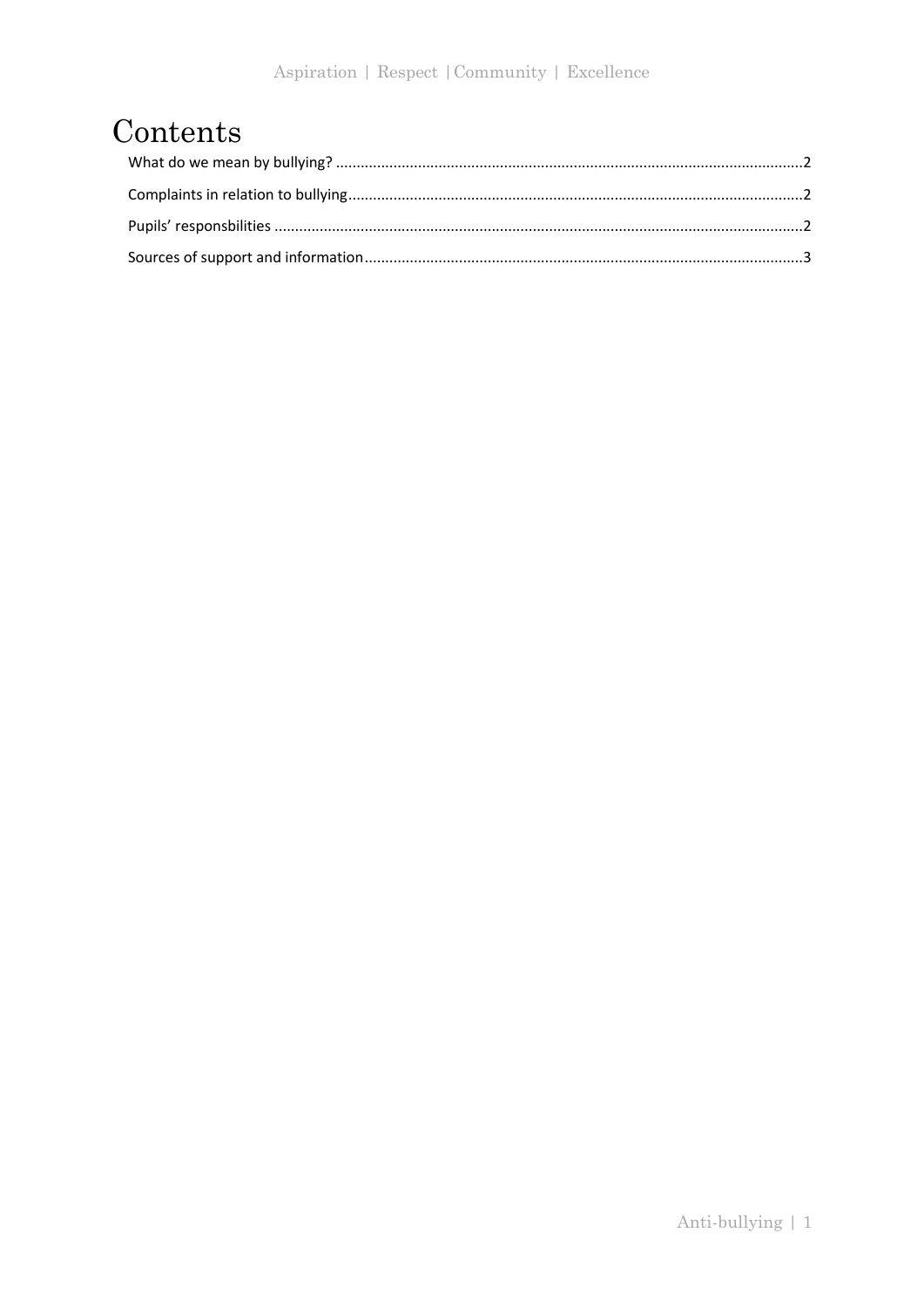## Contents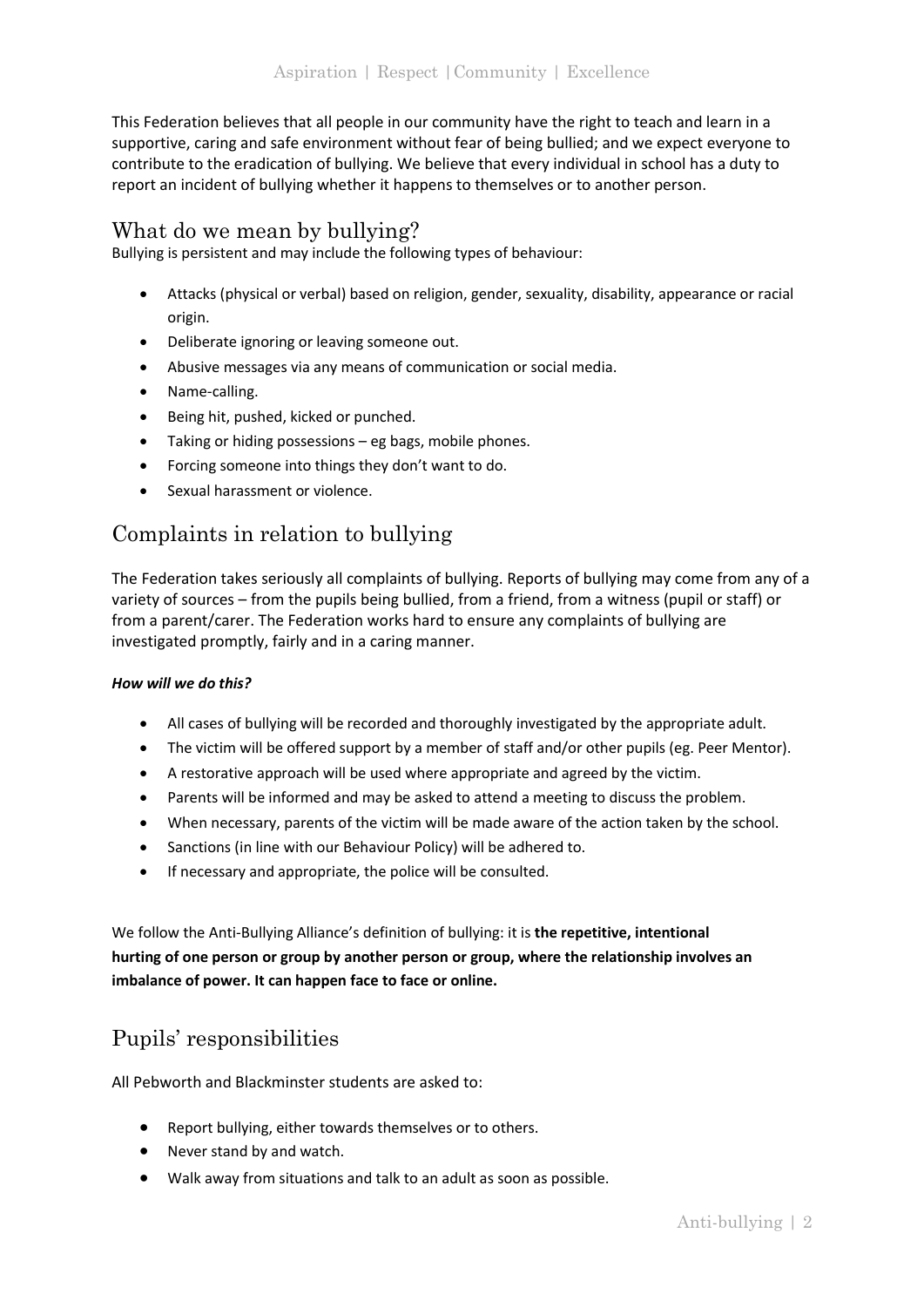This Federation believes that all people in our community have the right to teach and learn in a supportive, caring and safe environment without fear of being bullied; and we expect everyone to contribute to the eradication of bullying. We believe that every individual in school has a duty to report an incident of bullying whether it happens to themselves or to another person.

#### <span id="page-2-0"></span>What do we mean by bullying?

Bullying is persistent and may include the following types of behaviour:

- Attacks (physical or verbal) based on religion, gender, sexuality, disability, appearance or racial origin.
- Deliberate ignoring or leaving someone out.
- Abusive messages via any means of communication or social media.
- Name-calling.
- Being hit, pushed, kicked or punched.
- Taking or hiding possessions eg bags, mobile phones.
- Forcing someone into things they don't want to do.
- Sexual harassment or violence.

#### <span id="page-2-1"></span>Complaints in relation to bullying

The Federation takes seriously all complaints of bullying. Reports of bullying may come from any of a variety of sources – from the pupils being bullied, from a friend, from a witness (pupil or staff) or from a parent/carer. The Federation works hard to ensure any complaints of bullying are investigated promptly, fairly and in a caring manner.

#### *How will we do this?*

- All cases of bullying will be recorded and thoroughly investigated by the appropriate adult.
- The victim will be offered support by a member of staff and/or other pupils (eg. Peer Mentor).
- A restorative approach will be used where appropriate and agreed by the victim.
- Parents will be informed and may be asked to attend a meeting to discuss the problem.
- When necessary, parents of the victim will be made aware of the action taken by the school.
- Sanctions (in line with our Behaviour Policy) will be adhered to.
- If necessary and appropriate, the police will be consulted.

We follow the Anti-Bullying Alliance's definition of bullying: it is **the repetitive, intentional hurting of one person or group by another person or group, where the relationship involves an imbalance of power. It can happen face to face or online.** 

### <span id="page-2-2"></span>Pupils' responsibilities

All Pebworth and Blackminster students are asked to:

- Report bullying, either towards themselves or to others.
- Never stand by and watch.
- Walk away from situations and talk to an adult as soon as possible.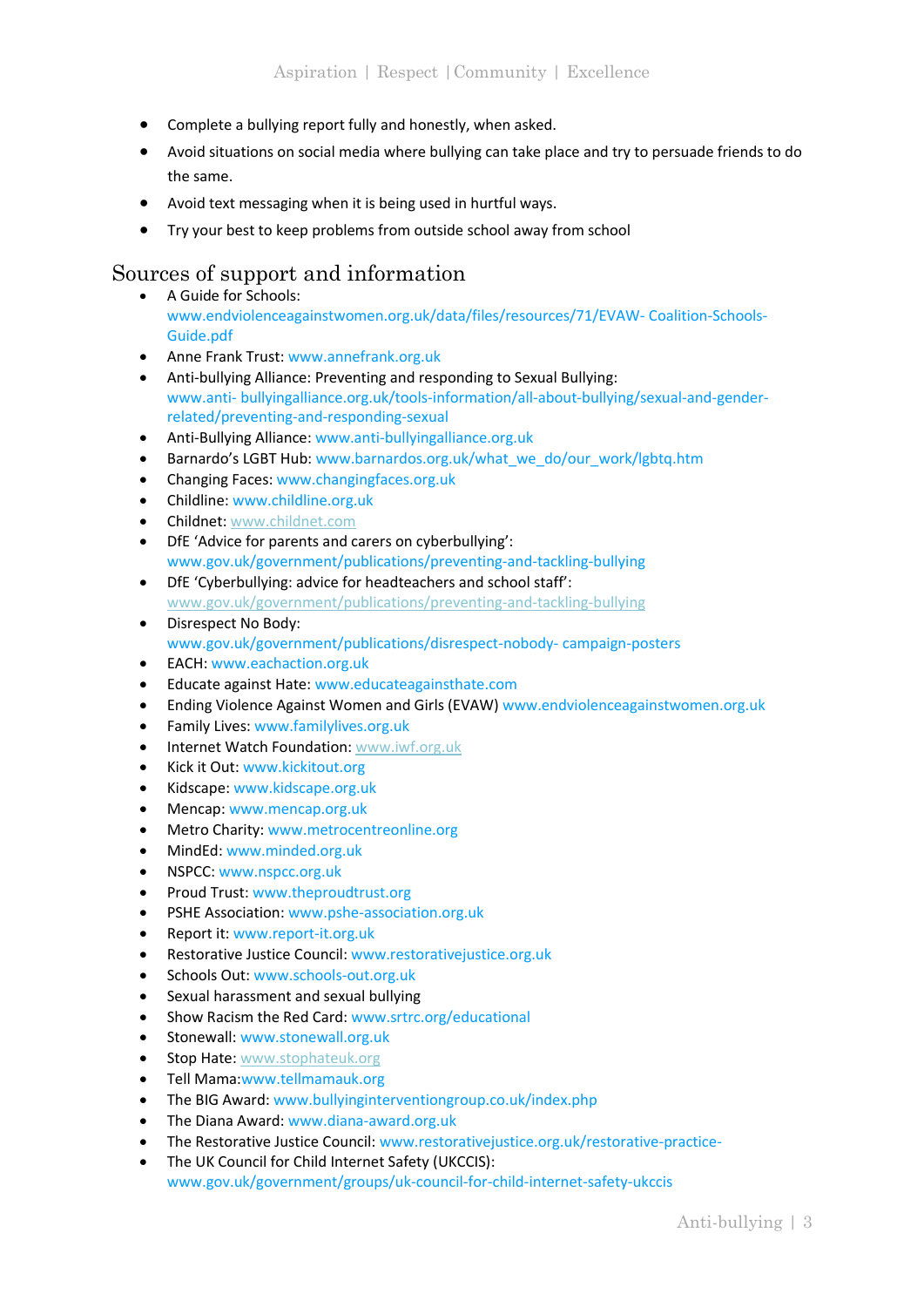- Complete a bullying report fully and honestly, when asked.
- Avoid situations on social media where bullying can take place and try to persuade friends to do the same.
- Avoid text messaging when it is being used in hurtful ways.
- Try your best to keep problems from outside school away from school

#### <span id="page-3-0"></span>Sources of support and information

- A Guide for Schools: www.endviolenceagainstwomen.org.uk/data/files/resources/71/EVAW- Coalition-Schools-Guide.pdf
- Anne Frank Trust: www.annefrank.org.uk
- Anti-bullying Alliance: Preventing and responding to Sexual Bullying: www.anti- bullyingalliance.org.uk/tools-information/all-about-bullying/sexual-and-genderrelated/preventing-and-responding-sexual
- Anti-Bullying Alliance: www.anti-bullyingalliance.org.uk
- Barnardo's LGBT Hub: www.barnardos.org.uk/what\_we\_do/our\_work/lgbtq.htm
- Changing Faces: www.changingfaces.org.uk
- Childline: www.childline.org.uk
- Childnet[: www.childnet.com](http://www.childnet.com/)
- DfE 'Advice for parents and carers on cyberbullying': www.gov.uk/government/publications/preventing-and-tackling-bullying
- DfE 'Cyberbullying: advice for headteachers and school staff': [www.gov.uk/government/publications/preventing-and-tackling-bullying](http://www.gov.uk/government/publications/preventing-and-tackling-bullying)
- Disrespect No Body: www.gov.uk/government/publications/disrespect-nobody- campaign-posters
- EACH: www.eachaction.org.uk
- Educate against Hate: www.educateagainsthate.com
- Ending Violence Against Women and Girls (EVAW) www.endviolenceagainstwomen.org.uk
- Family Lives: www.familylives.org.uk
- Internet Watch Foundation: [www.iwf.org.uk](http://www.iwf.org.uk/)
- Kick it Out: www.kickitout.org
- Kidscape: www.kidscape.org.uk
- Mencap: www.mencap.org.uk
- Metro Charity: www.metrocentreonline.org
- MindEd: www.minded.org.uk
- NSPCC: www.nspcc.org.uk
- Proud Trust: www.theproudtrust.org
- PSHE Association: www.pshe-association.org.uk
- Report it: www.report-it.org.uk
- Restorative Justice Council: www.restorativejustice.org.uk
- Schools Out: www.schools-out.org.uk
- Sexual harassment and sexual bullying
- Show Racism the Red Card: www.srtrc.org/educational
- Stonewall: www.stonewall.org.uk
- Stop Hate: [www.stophateuk.org](http://www.stophateuk.org/)
- Tell Mama:www.tellmamauk.org
- The BIG Award: www.bullyinginterventiongroup.co.uk/index.php
- The Diana Award: www.diana-award.org.uk
- The Restorative Justice Council: www.restorativejustice.org.uk/restorative-practice-
- The UK Council for Child Internet Safety (UKCCIS): www.gov.uk/government/groups/uk-council-for-child-internet-safety-ukccis